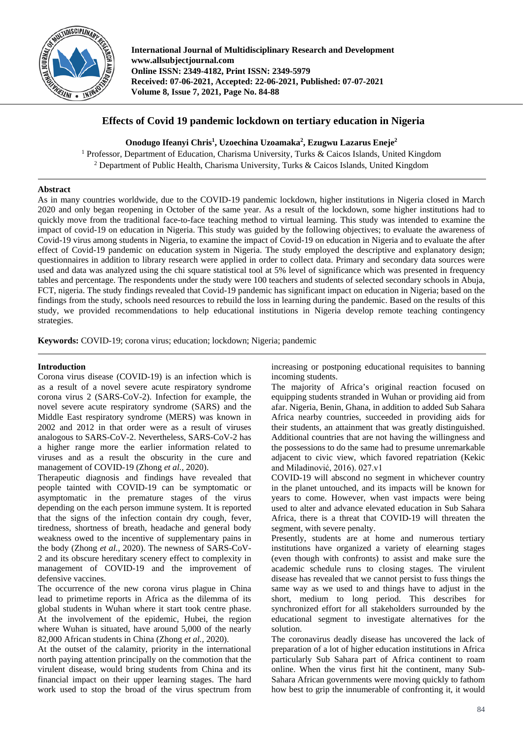

**International Journal of Multidisciplinary Research and Development www.allsubjectjournal.com Online ISSN: 2349-4182, Print ISSN: 2349-5979 Received: 07-06-2021, Accepted: 22-06-2021, Published: 07-07-2021 Volume 8, Issue 7, 2021, Page No. 84-88**

# **Effects of Covid 19 pandemic lockdown on tertiary education in Nigeria**

Onodugo Ifeanyi Chris<sup>1</sup>, Uzoechina Uzoamaka<sup>2</sup>, Ezugwu Lazarus Eneje<sup>2</sup>

<sup>1</sup> Professor, Department of Education, Charisma University, Turks & Caicos Islands, United Kingdom <sup>2</sup> Department of Public Health, Charisma University, Turks & Caicos Islands, United Kingdom

## **Abstract**

As in many countries worldwide, due to the COVID-19 pandemic lockdown, higher institutions in Nigeria closed in March 2020 and only began reopening in October of the same year. As a result of the lockdown, some higher institutions had to quickly move from the traditional face-to-face teaching method to virtual learning. This study was intended to examine the impact of covid-19 on education in Nigeria. This study was guided by the following objectives; to evaluate the awareness of Covid-19 virus among students in Nigeria, to examine the impact of Covid-19 on education in Nigeria and to evaluate the after effect of Covid-19 pandemic on education system in Nigeria. The study employed the descriptive and explanatory design; questionnaires in addition to library research were applied in order to collect data. Primary and secondary data sources were used and data was analyzed using the chi square statistical tool at 5% level of significance which was presented in frequency tables and percentage. The respondents under the study were 100 teachers and students of selected secondary schools in Abuja, FCT, nigeria. The study findings revealed that Covid-19 pandemic has significant impact on education in Nigeria; based on the findings from the study, schools need resources to rebuild the loss in learning during the pandemic. Based on the results of this study, we provided recommendations to help educational institutions in Nigeria develop remote teaching contingency strategies.

**Keywords:** COVID-19; corona virus; education; lockdown; Nigeria; pandemic

### **Introduction**

Corona virus disease (COVID-19) is an infection which is as a result of a novel severe acute respiratory syndrome corona virus 2 (SARS-CoV-2). Infection for example, the novel severe acute respiratory syndrome (SARS) and the Middle East respiratory syndrome (MERS) was known in 2002 and 2012 in that order were as a result of viruses analogous to SARS-CoV-2. Nevertheless, SARS-CoV-2 has a higher range more the earlier information related to viruses and as a result the obscurity in the cure and management of COVID-19 (Zhong *et al.,* 2020).

Therapeutic diagnosis and findings have revealed that people tainted with COVID-19 can be symptomatic or asymptomatic in the premature stages of the virus depending on the each person immune system. It is reported that the signs of the infection contain dry cough, fever, tiredness, shortness of breath, headache and general body weakness owed to the incentive of supplementary pains in the body (Zhong *et al.,* 2020). The newness of SARS-CoV-2 and its obscure hereditary scenery effect to complexity in management of COVID-19 and the improvement of defensive vaccines.

The occurrence of the new corona virus plague in China lead to primetime reports in Africa as the dilemma of its global students in Wuhan where it start took centre phase. At the involvement of the epidemic, Hubei, the region where Wuhan is situated, have around 5,000 of the nearly 82,000 African students in China (Zhong *et al.,* 2020).

At the outset of the calamity, priority in the international north paying attention principally on the commotion that the virulent disease, would bring students from China and its financial impact on their upper learning stages. The hard work used to stop the broad of the virus spectrum from increasing or postponing educational requisites to banning incoming students.

The majority of Africa's original reaction focused on equipping students stranded in Wuhan or providing aid from afar. Nigeria, Benin, Ghana, in addition to added Sub Sahara Africa nearby countries, succeeded in providing aids for their students, an attainment that was greatly distinguished. Additional countries that are not having the willingness and the possessions to do the same had to presume unremarkable adjacent to civic view, which favored repatriation (Kekic and Miladinović, 2016). 027.v1

COVID-19 will abscond no segment in whichever country in the planet untouched, and its impacts will be known for years to come. However, when vast impacts were being used to alter and advance elevated education in Sub Sahara Africa, there is a threat that COVID-19 will threaten the segment, with severe penalty.

Presently, students are at home and numerous tertiary institutions have organized a variety of elearning stages (even though with confronts) to assist and make sure the academic schedule runs to closing stages. The virulent disease has revealed that we cannot persist to fuss things the same way as we used to and things have to adjust in the short, medium to long period. This describes for synchronized effort for all stakeholders surrounded by the educational segment to investigate alternatives for the solution.

The coronavirus deadly disease has uncovered the lack of preparation of a lot of higher education institutions in Africa particularly Sub Sahara part of Africa continent to roam online. When the virus first hit the continent, many Sub-Sahara African governments were moving quickly to fathom how best to grip the innumerable of confronting it, it would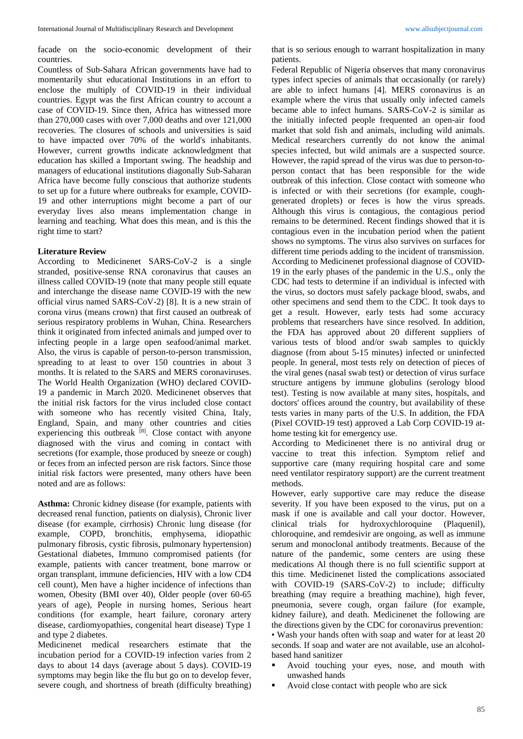facade on the socio-economic development of their countries.

Countless of Sub-Sahara African governments have had to momentarily shut educational Institutions in an effort to enclose the multiply of COVID-19 in their individual countries. Egypt was the first African country to account a case of COVID-19. Since then, Africa has witnessed more than 270,000 cases with over 7,000 deaths and over 121,000 recoveries. The closures of schools and universities is said to have impacted over 70% of the world's inhabitants. However, current growths indicate acknowledgment that education has skilled a Important swing. The headship and managers of educational institutions diagonally Sub-Saharan Africa have become fully conscious that authorize students to set up for a future where outbreaks for example, COVID-19 and other interruptions might become a part of our everyday lives also means implementation change in learning and teaching. What does this mean, and is this the right time to start?

#### **Literature Review**

According to Medicinenet SARS-CoV-2 is a single stranded, positive-sense RNA coronavirus that causes an illness called COVID-19 (note that many people still equate and interchange the disease name COVID-19 with the new official virus named SARS-CoV-2) [8]. It is a new strain of corona virus (means crown) that first caused an outbreak of serious respiratory problems in Wuhan, China. Researchers think it originated from infected animals and jumped over to infecting people in a large open seafood/animal market. Also, the virus is capable of person-to-person transmission, spreading to at least to over 150 countries in about 3 months. It is related to the SARS and MERS coronaviruses. The World Health Organization (WHO) declared COVID-19 a pandemic in March 2020. Medicinenet observes that the initial risk factors for the virus included close contact with someone who has recently visited China, Italy, England, Spain, and many other countries and cities experiencing this outbreak <sup>[8]</sup>. Close contact with anyone diagnosed with the virus and coming in contact with secretions (for example, those produced by sneeze or cough) or feces from an infected person are risk factors. Since those initial risk factors were presented, many others have been noted and are as follows:

**Asthma:** Chronic kidney disease (for example, patients with decreased renal function, patients on dialysis), Chronic liver disease (for example, cirrhosis) Chronic lung disease (for example, COPD, bronchitis, emphysema, idiopathic pulmonary fibrosis, cystic fibrosis, pulmonary hypertension) Gestational diabetes, Immuno compromised patients (for example, patients with cancer treatment, bone marrow or organ transplant, immune deficiencies, HIV with a low CD4 cell count), Men have a higher incidence of infections than women, Obesity (BMI over 40), Older people (over 60-65 years of age), People in nursing homes, Serious heart conditions (for example, heart failure, coronary artery disease, cardiomyopathies, congenital heart disease) Type 1 and type 2 diabetes.

Medicinenet medical researchers estimate that the incubation period for a COVID-19 infection varies from 2 days to about 14 days (average about 5 days). COVID-19 symptoms may begin like the flu but go on to develop fever, severe cough, and shortness of breath (difficulty breathing) that is so serious enough to warrant hospitalization in many patients.

Federal Republic of Nigeria observes that many coronavirus types infect species of animals that occasionally (or rarely) are able to infect humans [4]. MERS coronavirus is an example where the virus that usually only infected camels became able to infect humans. SARS-CoV-2 is similar as the initially infected people frequented an open-air food market that sold fish and animals, including wild animals. Medical researchers currently do not know the animal species infected, but wild animals are a suspected source. However, the rapid spread of the virus was due to person-toperson contact that has been responsible for the wide outbreak of this infection. Close contact with someone who is infected or with their secretions (for example, coughgenerated droplets) or feces is how the virus spreads. Although this virus is contagious, the contagious period remains to be determined. Recent findings showed that it is contagious even in the incubation period when the patient shows no symptoms. The virus also survives on surfaces for different time periods adding to the incident of transmission. According to Medicinenet professional diagnose of COVID-19 in the early phases of the pandemic in the U.S., only the CDC had tests to determine if an individual is infected with the virus, so doctors must safely package blood, swabs, and other specimens and send them to the CDC. It took days to get a result. However, early tests had some accuracy problems that researchers have since resolved. In addition, the FDA has approved about 20 different suppliers of various tests of blood and/or swab samples to quickly diagnose (from about 5-15 minutes) infected or uninfected people. In general, most tests rely on detection of pieces of the viral genes (nasal swab test) or detection of virus surface structure antigens by immune globulins (serology blood test). Testing is now available at many sites, hospitals, and doctors' offices around the country, but availability of these tests varies in many parts of the U.S. In addition, the FDA (Pixel COVID-19 test) approved a Lab Corp COVID-19 athome testing kit for emergency use.

According to Medicinenet there is no antiviral drug or vaccine to treat this infection. Symptom relief and supportive care (many requiring hospital care and some need ventilator respiratory support) are the current treatment methods.

However, early supportive care may reduce the disease severity. If you have been exposed to the virus, put on a mask if one is available and call your doctor. However, clinical trials for hydroxychloroquine (Plaquenil), chloroquine, and remdesivir are ongoing, as well as immune serum and monoclonal antibody treatments. Because of the nature of the pandemic, some centers are using these medications Al though there is no full scientific support at this time. Medicinenet listed the complications associated with COVID-19 (SARS-CoV-2) to include; difficulty breathing (may require a breathing machine), high fever, pneumonia, severe cough, organ failure (for example, kidney failure), and death. Medicinenet the following are the directions given by the CDC for coronavirus prevention: • Wash your hands often with soap and water for at least 20 seconds. If soap and water are not available, use an alcoholbased hand sanitizer

- Avoid touching your eyes, nose, and mouth with unwashed hands
- Avoid close contact with people who are sick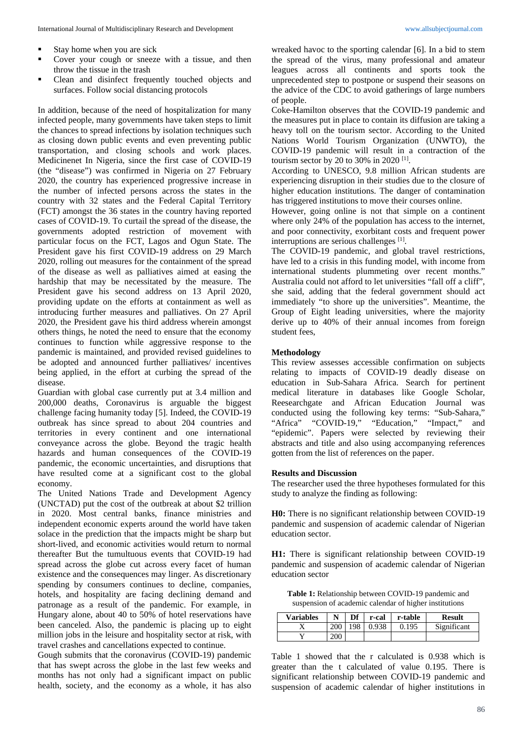- Stay home when you are sick
- Cover your cough or sneeze with a tissue, and then throw the tissue in the trash
- Clean and disinfect frequently touched objects and surfaces. Follow social distancing protocols

In addition, because of the need of hospitalization for many infected people, many governments have taken steps to limit the chances to spread infections by isolation techniques such as closing down public events and even preventing public transportation, and closing schools and work places. Medicinenet In Nigeria, since the first case of COVID-19 (the "disease") was confirmed in Nigeria on 27 February 2020, the country has experienced progressive increase in the number of infected persons across the states in the country with 32 states and the Federal Capital Territory (FCT) amongst the 36 states in the country having reported cases of COVID-19. To curtail the spread of the disease, the governments adopted restriction of movement with particular focus on the FCT, Lagos and Ogun State. The President gave his first COVID-19 address on 29 March 2020, rolling out measures for the containment of the spread of the disease as well as palliatives aimed at easing the hardship that may be necessitated by the measure. The President gave his second address on 13 April 2020, providing update on the efforts at containment as well as introducing further measures and palliatives. On 27 April 2020, the President gave his third address wherein amongst others things, he noted the need to ensure that the economy continues to function while aggressive response to the pandemic is maintained, and provided revised guidelines to be adopted and announced further palliatives/ incentives being applied, in the effort at curbing the spread of the disease<sup>1</sup>

Guardian with global case currently put at 3.4 million and 200,000 deaths, Coronavirus is arguable the biggest challenge facing humanity today [5]. Indeed, the COVID-19 outbreak has since spread to about 204 countries and territories in every continent and one international conveyance across the globe. Beyond the tragic health hazards and human consequences of the COVID-19 pandemic, the economic uncertainties, and disruptions that have resulted come at a significant cost to the global economy.

The United Nations Trade and Development Agency (UNCTAD) put the cost of the outbreak at about \$2 trillion in 2020. Most central banks, finance ministries and independent economic experts around the world have taken solace in the prediction that the impacts might be sharp but short-lived, and economic activities would return to normal thereafter But the tumultuous events that COVID-19 had spread across the globe cut across every facet of human existence and the consequences may linger. As discretionary spending by consumers continues to decline, companies, hotels, and hospitality are facing declining demand and patronage as a result of the pandemic. For example, in Hungary alone, about 40 to 50% of hotel reservations have been canceled. Also, the pandemic is placing up to eight million jobs in the leisure and hospitality sector at risk, with travel crashes and cancellations expected to continue.

Gough submits that the coronavirus (COVID-19) pandemic that has swept across the globe in the last few weeks and months has not only had a significant impact on public health, society, and the economy as a whole, it has also

wreaked havoc to the sporting calendar [6]. In a bid to stem the spread of the virus, many professional and amateur leagues across all continents and sports took the unprecedented step to postpone or suspend their seasons on the advice of the CDC to avoid gatherings of large numbers of people.

Coke-Hamilton observes that the COVID-19 pandemic and the measures put in place to contain its diffusion are taking a heavy toll on the tourism sector. According to the United Nations World Tourism Organization (UNWTO), the COVID-19 pandemic will result in a contraction of the tourism sector by 20 to 30% in 2020  $^{[1]}$ .

According to UNESCO, 9.8 million African students are experiencing disruption in their studies due to the closure of higher education institutions. The danger of contamination has triggered institutions to move their courses online.

However, going online is not that simple on a continent where only 24% of the population has access to the internet, and poor connectivity, exorbitant costs and frequent power interruptions are serious challenges [1].

The COVID-19 pandemic, and global travel restrictions, have led to a crisis in this funding model, with income from international students plummeting over recent months." Australia could not afford to let universities "fall off a cliff", she said, adding that the federal government should act immediately "to shore up the universities". Meantime, the Group of Eight leading universities, where the majority derive up to 40% of their annual incomes from foreign student fees,

#### **Methodology**

This review assesses accessible confirmation on subjects relating to impacts of COVID-19 deadly disease on education in Sub-Sahara Africa. Search for pertinent medical literature in databases like Google Scholar, Reesearchgate and African Education Journal was conducted using the following key terms: "Sub-Sahara," "Africa" "COVID-19," "Education," "Impact," and "epidemic". Papers were selected by reviewing their abstracts and title and also using accompanying references gotten from the list of references on the paper.

#### **Results and Discussion**

The researcher used the three hypotheses formulated for this study to analyze the finding as following:

**H0:** There is no significant relationship between COVID-19 pandemic and suspension of academic calendar of Nigerian education sector.

**H1:** There is significant relationship between COVID-19 pandemic and suspension of academic calendar of Nigerian education sector

**Table 1:** Relationship between COVID-19 pandemic and suspension of academic calendar of higher institutions

| <b>Variables</b> | N   | Df | r-cal | r-table | <b>Result</b> |
|------------------|-----|----|-------|---------|---------------|
|                  | 200 |    |       | .195    | Significant   |
|                  |     |    |       |         |               |

Table 1 showed that the r calculated is 0.938 which is greater than the t calculated of value 0.195. There is significant relationship between COVID-19 pandemic and suspension of academic calendar of higher institutions in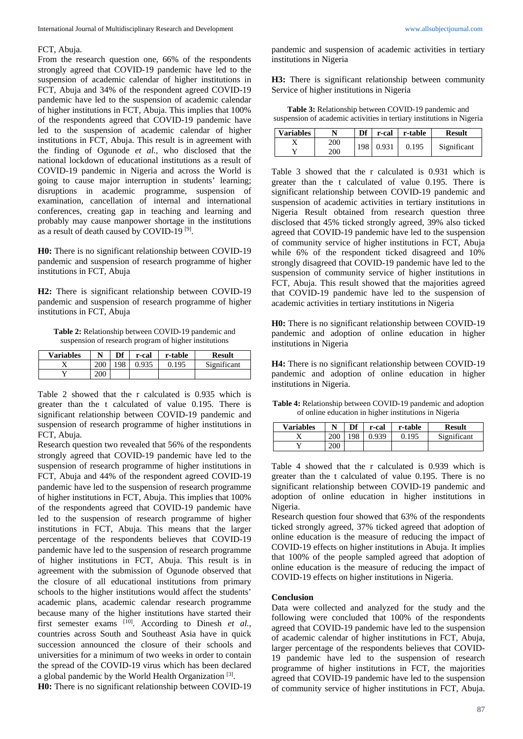#### FCT, Abuja.

From the research question one, 66% of the respondents strongly agreed that COVID-19 pandemic have led to the suspension of academic calendar of higher institutions in FCT, Abuja and 34% of the respondent agreed COVID-19 pandemic have led to the suspension of academic calendar of higher institutions in FCT, Abuja. This implies that 100% of the respondents agreed that COVID-19 pandemic have led to the suspension of academic calendar of higher institutions in FCT, Abuja. This result is in agreement with the finding of Ogunode *et al.,* who disclosed that the national lockdown of educational institutions as a result of COVID-19 pandemic in Nigeria and across the World is going to cause major interruption in students' learning; disruptions in academic programme, suspension of examination, cancellation of internal and international conferences, creating gap in teaching and learning and probably may cause manpower shortage in the institutions as a result of death caused by COVID-19 [9].

**H0:** There is no significant relationship between COVID-19 pandemic and suspension of research programme of higher institutions in FCT, Abuja

**H2:** There is significant relationship between COVID-19 pandemic and suspension of research programme of higher institutions in FCT, Abuja

**Table 2:** Relationship between COVID-19 pandemic and suspension of research program of higher institutions

| <b>Variables</b> |     | Df  | r-cal | r-table | <b>Result</b> |
|------------------|-----|-----|-------|---------|---------------|
|                  | 200 | 198 | 0.935 | 0.195   | Significant   |
|                  | 200 |     |       |         |               |

Table 2 showed that the r calculated is 0.935 which is greater than the t calculated of value 0.195. There is significant relationship between COVID-19 pandemic and suspension of research programme of higher institutions in FCT, Abuja.

Research question two revealed that 56% of the respondents strongly agreed that COVID-19 pandemic have led to the suspension of research programme of higher institutions in FCT, Abuja and 44% of the respondent agreed COVID-19 pandemic have led to the suspension of research programme of higher institutions in FCT, Abuja. This implies that 100% of the respondents agreed that COVID-19 pandemic have led to the suspension of research programme of higher institutions in FCT, Abuja. This means that the larger percentage of the respondents believes that COVID-19 pandemic have led to the suspension of research programme of higher institutions in FCT, Abuja. This result is in agreement with the submission of Ogunode observed that the closure of all educational institutions from primary schools to the higher institutions would affect the students' academic plans, academic calendar research programme because many of the higher institutions have started their first semester exams [10]. According to Dinesh *et al.*, countries across South and Southeast Asia have in quick succession announced the closure of their schools and universities for a minimum of two weeks in order to contain the spread of the COVID-19 virus which has been declared a global pandemic by the World Health Organization [3].

**H0:** There is no significant relationship between COVID-19

pandemic and suspension of academic activities in tertiary institutions in Nigeria

**H3:** There is significant relationship between community Service of higher institutions in Nigeria

**Table 3:** Relationship between COVID-19 pandemic and suspension of academic activities in tertiary institutions in Nigeria

| <b>Variables</b> |     | Df  | r-cal | r-table | <b>Result</b> |
|------------------|-----|-----|-------|---------|---------------|
|                  | 200 | 198 | 0.931 | 0.195   | Significant   |
|                  | 200 |     |       |         |               |

Table 3 showed that the r calculated is 0.931 which is greater than the t calculated of value 0.195. There is significant relationship between COVID-19 pandemic and suspension of academic activities in tertiary institutions in Nigeria Result obtained from research question three disclosed that 45% ticked strongly agreed, 39% also ticked agreed that COVID-19 pandemic have led to the suspension of community service of higher institutions in FCT, Abuja while 6% of the respondent ticked disagreed and 10% strongly disagreed that COVID-19 pandemic have led to the suspension of community service of higher institutions in FCT, Abuja. This result showed that the majorities agreed that COVID-19 pandemic have led to the suspension of academic activities in tertiary institutions in Nigeria

**H0:** There is no significant relationship between COVID-19 pandemic and adoption of online education in higher institutions in Nigeria

**H4:** There is no significant relationship between COVID-19 pandemic and adoption of online education in higher institutions in Nigeria.

**Table 4:** Relationship between COVID-19 pandemic and adoption of online education in higher institutions in Nigeria

| <b>Variables</b> |     | Df  | r-cal | r-table | <b>Result</b> |
|------------------|-----|-----|-------|---------|---------------|
|                  | 200 | 198 | 0.939 | 0.195   | Significant   |
|                  | 200 |     |       |         |               |

Table 4 showed that the r calculated is 0.939 which is greater than the t calculated of value 0.195. There is no significant relationship between COVID-19 pandemic and adoption of online education in higher institutions in Nigeria.

Research question four showed that 63% of the respondents ticked strongly agreed, 37% ticked agreed that adoption of online education is the measure of reducing the impact of COVID-19 effects on higher institutions in Abuja. It implies that 100% of the people sampled agreed that adoption of online education is the measure of reducing the impact of COVID-19 effects on higher institutions in Nigeria.

#### **Conclusion**

Data were collected and analyzed for the study and the following were concluded that 100% of the respondents agreed that COVID-19 pandemic have led to the suspension of academic calendar of higher institutions in FCT, Abuja, larger percentage of the respondents believes that COVID-19 pandemic have led to the suspension of research programme of higher institutions in FCT, the majorities agreed that COVID-19 pandemic have led to the suspension of community service of higher institutions in FCT, Abuja.